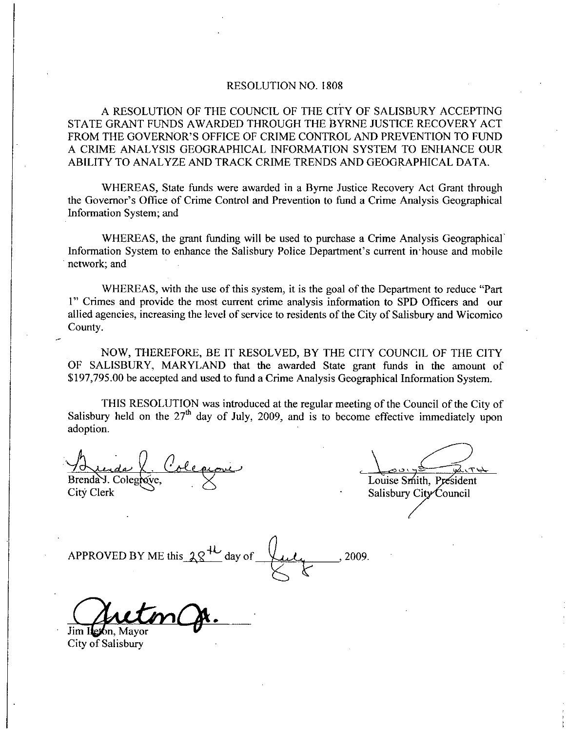## RESOLUTION NO. 1808

A RESOLUTION OF THE COUNCIL OF THE CITY OF SALISBURY ACCEPTING STATE GRANT FUNDS AWARDED THROUGH THE BYRNE JUSTICE RECOVERY ACT RESOLUTION NO. 1808<br>A RESOLUTION OF THE COUNCIL OF THE CITY OF SALISBURY ACCEPTING<br>STATE GRANT FUNDS AWARDED THROUGH THE BYRNE JUSTICE RECOVERY ACT<br>FROM THE GOVERNOR'S OFFICE OF CRIME CONTROL AND PREVENTION TO FUND<br>A CRIME A CRIME ANALYSIS GEOGRAPHICAL INFORMATION SYSTEM TO ENHANCE OUR ABILITY TO ANALYZE AND TRACK CRIME TRENDS ANDGEOGRAPHICAL DATA FROM THE GOVERNOR'S OFFICE OF CRIME CONTROL AND PREVENTION TO FUND

WHEREAS, State funds were awarded in a Byrne Justice Recovery Act Grant through the Governor's Office of Crime Control and Prevention to fund a Crime Analysis Geographical Information System; and INFORMATION TREATED TRIVIS TREATED TRIVIS SECULATED STATE DETAIL.<br>
WHEREAS, State funds were awarded in a Byrne Justice Recovery Act Grant through<br>
Information System; and<br>
WHEREAS, the grant funding will be used to purcha

WHEREAS, the grant funding will be used to purchase a Crime Analysis Geographical<br>Information System to enhance the Salisbury Police Department's current in house and mobile network; and

WHEREAS, with the use of this system, it is the goal of the Department to reduce "Part 1" Crimes and provide the most current crime analysis information to SPD Officers and our allied agencies, increasing the level of service to residents of the City of Salisbury and Wicomico County

NOW, THEREFORE, BE IT RESOLVED, BY THE CITY COUNCIL OF THE CITY OF SALISBURY, MARYLAND that the awarded State grant funds in the amount of \$197,795.00 be accepted and used to fund a Crime Analysis Geographical Information System.

THIS RESOLUTION was introduced at the regulaz meeting ofthe Council of the City of Salisbury held on the  $27<sup>th</sup>$  day of July, 2009, and is to become effective immediately upon adoption

Brenda J. Colegrove, and about to the<br>J<sup>th</sup> day of Ju<br>Le provie City Clerk Salisbury City Council

 $\overline{\phantom{a}}$ Louise S.

e

SI97,795.00 be accepted and used<br>SI97,795.00 be accepted and used<br>Salisbury held on the 27<sup>th</sup> day of<br>adoption.<br>And Colegrave,<br>City Clerk<br>APPROVED BY ME this  $28^{4L}$ <br>APPROVED BY ME this  $28^{4L}$ day of  $\bigcup_{i}$ , 2009.

Jim Iteron. Mayor

City of Salisbury